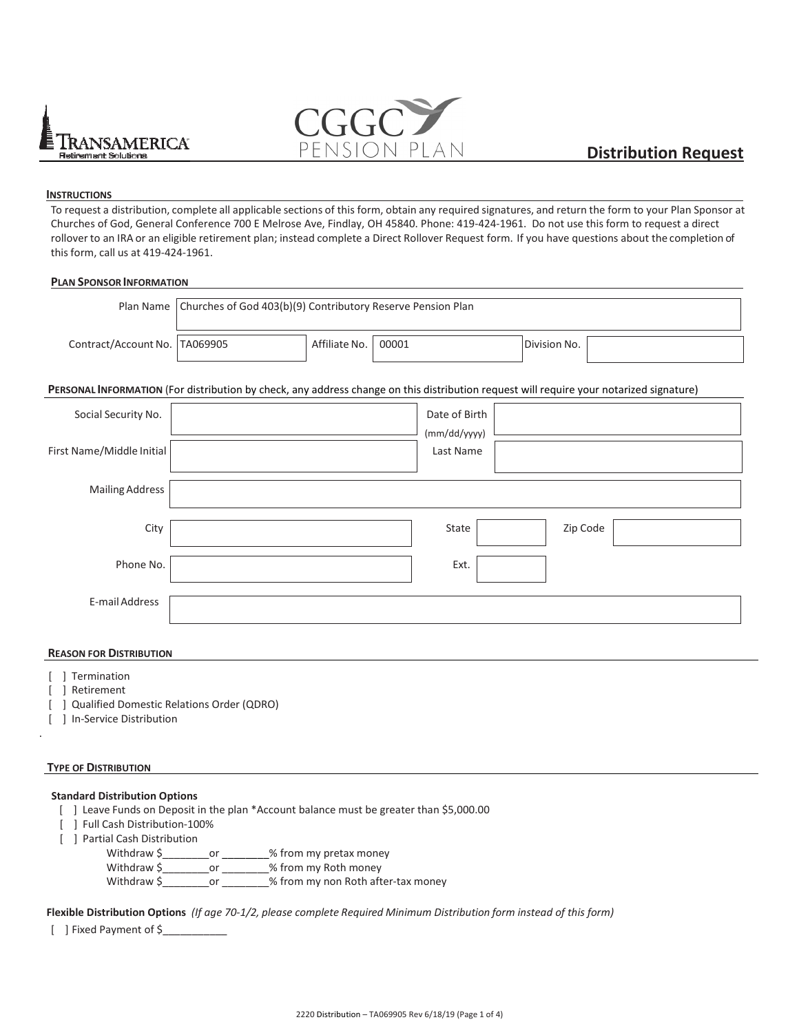



# **INSTRUCTIONS**

To request a distribution, complete all applicable sections of this form, obtain any required signatures, and return the form to your Plan Sponsor at Churches of God, General Conference 700 E Melrose Ave, Findlay, OH 45840. Phone: 419-424-1961. Do not use this form to request a direct rollover to an IRA or an eligible retirement plan; instead complete a Direct Rollover Request form. If you have questions about the completion of this form, call us at 419-424-1961.

# **PLAN SPONSOR INFORMATION**

| Plan Name                                                                                                                               | Churches of God 403(b)(9) Contributory Reserve Pension Plan |               |       |                           |              |  |  |  |  |  |  |  |  |
|-----------------------------------------------------------------------------------------------------------------------------------------|-------------------------------------------------------------|---------------|-------|---------------------------|--------------|--|--|--|--|--|--|--|--|
| Contract/Account No.                                                                                                                    | TA069905                                                    | Affiliate No. | 00001 |                           | Division No. |  |  |  |  |  |  |  |  |
| PERSONAL INFORMATION (For distribution by check, any address change on this distribution request will require your notarized signature) |                                                             |               |       |                           |              |  |  |  |  |  |  |  |  |
| Social Security No.                                                                                                                     |                                                             |               |       | Date of Birth             |              |  |  |  |  |  |  |  |  |
| First Name/Middle Initial                                                                                                               |                                                             |               |       | (mm/dd/yyyy)<br>Last Name |              |  |  |  |  |  |  |  |  |
| <b>Mailing Address</b>                                                                                                                  |                                                             |               |       |                           |              |  |  |  |  |  |  |  |  |
| City                                                                                                                                    |                                                             |               |       | State                     | Zip Code     |  |  |  |  |  |  |  |  |
| Phone No.                                                                                                                               |                                                             |               |       | Ext.                      |              |  |  |  |  |  |  |  |  |
| E-mail Address                                                                                                                          |                                                             |               |       |                           |              |  |  |  |  |  |  |  |  |

# **REASON FOR DISTRIBUTION**

- [ ] Termination
- [ ] Retirement

.

- [ ] Qualified Domestic Relations Order (QDRO)
- [ ] In-Service Distribution

# **TYPE OF DISTRIBUTION**

# **Standard Distribution Options**

- [ ] Leave Funds on Deposit in the plan \*Account balance must be greater than \$5,000.00
- [ ] Full Cash Distribution-100%
- [ ] Partial Cash Distribution

Withdraw \$\_\_\_\_\_\_\_\_\_\_\_or \_\_\_\_\_\_\_\_% from my pretax money Withdraw \$\_\_\_\_\_\_\_\_or \_\_\_\_\_\_\_\_% from my Roth money Withdraw \$\_\_\_\_\_\_\_\_\_\_\_or \_\_\_\_\_\_\_\_% from my non Roth after-tax money

**Flexible Distribution Options** *(If age 70-1/2, please complete Required Minimum Distribution form instead of this form)*

[ ] Fixed Payment of \$\_\_\_\_\_\_\_\_\_\_\_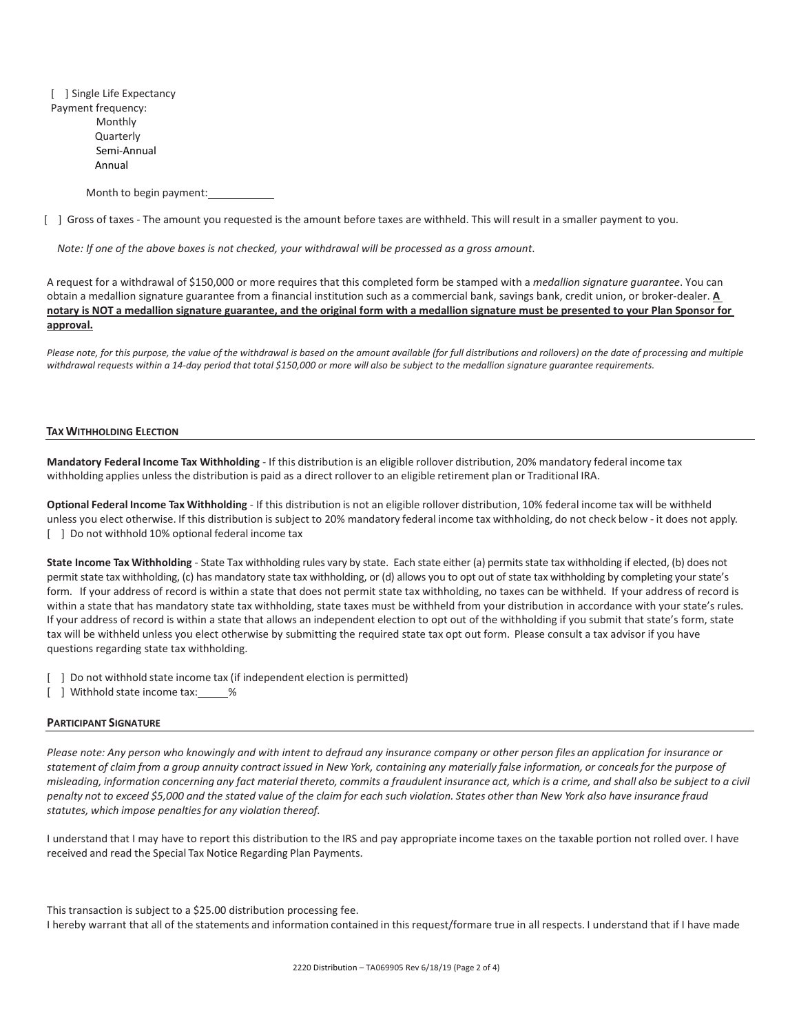[ ] Single Life Expectancy Payment frequency: Monthly Quarterly Semi-Annual Annual

Month to begin payment:

[ ] Gross of taxes - The amount you requested is the amount before taxes are withheld. This will result in a smaller payment to you.

*Note: If one of the above boxes is not checked, your withdrawal will be processed as a gross amount*.

A request for a withdrawal of \$150,000 or more requires that this completed form be stamped with a *medallion signature guarantee*. You can obtain a medallion signature guarantee from a financial institution such as a commercial bank, savings bank, credit union, or broker-dealer. **A notary is NOT a medallion signature guarantee, and the original form with a medallion signature must be presented to your Plan Sponsor for approval.**

Please note, for this purpose, the value of the withdrawal is based on the amount available (for full distributions and rollovers) on the date of processing and multiple *withdrawal requests within a 14-day period that total \$150,000 or more will also be subject to the medallion signature guarantee requirements.*

#### **TAX WITHHOLDING ELECTION**

**Mandatory Federal Income Tax Withholding** - If this distribution is an eligible rollover distribution, 20% mandatory federal income tax withholding applies unless the distribution is paid as a direct rollover to an eligible retirement plan or Traditional IRA.

**Optional Federal Income Tax Withholding** - If this distribution is not an eligible rollover distribution, 10% federal income tax will be withheld unless you elect otherwise. If this distribution is subject to 20% mandatory federal income tax withholding, do not check below - it does not apply. [ ]Do not withhold 10% optional federal income tax

**State Income Tax Withholding** - State Tax withholding rules vary by state. Each state either (a) permits state tax withholding if elected, (b) does not permit state tax withholding, (c) has mandatory state tax withholding, or (d) allows you to opt out of state tax withholding by completing your state's form. If your address of record is within a state that does not permit state tax withholding, no taxes can be withheld. If your address of record is within a state that has mandatory state tax withholding, state taxes must be withheld from your distribution in accordance with your state's rules. If your address of record is within a state that allows an independent election to opt out of the withholding if you submit that state's form, state tax will be withheld unless you elect otherwise by submitting the required state tax opt out form. Please consult a tax advisor if you have questions regarding state tax withholding.

[ ] Do not withhold state income tax (if independent election is permitted)

[ ] Withhold state income tax: %

#### **PARTICIPANT SIGNATURE**

*Please note: Any person who knowingly and with intent to defraud any insurance company or other person files an application for insurance or statement of claim from a group annuity contract issued in New York, containing any materially false information, or conceals for the purpose of*  misleading, information concerning any fact material thereto, commits a fraudulent insurance act, which is a crime, and shall also be subject to a civil *penalty not to exceed \$5,000 and the stated value of the claim for each such violation. States other than New York also have insurance fraud statutes, which impose penalties for any violation thereof.* 

I understand that I may have to report this distribution to the IRS and pay appropriate income taxes on the taxable portion not rolled over. I have received and read the Special Tax Notice Regarding Plan Payments.

This transaction is subject to a \$25.00 distribution processing fee. I hereby warrant that all of the statements and information contained in this request/formare true in all respects. I understand that if I have made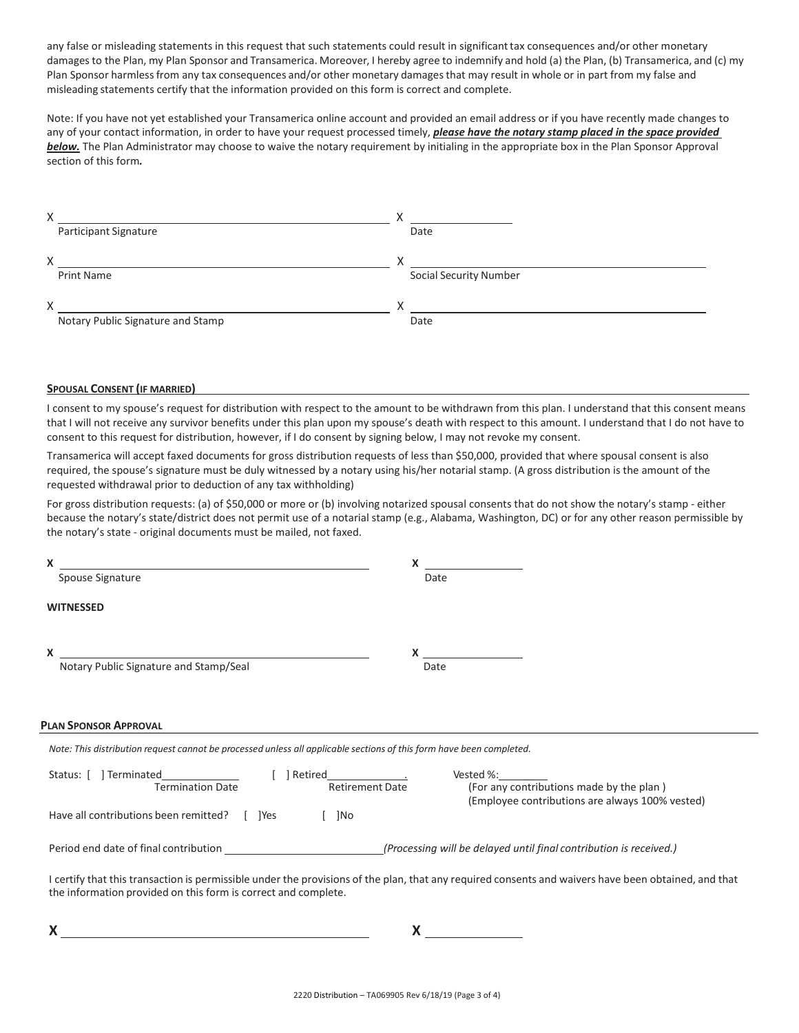any false or misleading statements in this request that such statements could result in significant tax consequences and/or other monetary damages to the Plan, my Plan Sponsor and Transamerica. Moreover, I hereby agree to indemnify and hold (a) the Plan, (b) Transamerica, and (c) my Plan Sponsor harmless from any tax consequences and/or other monetary damages that may result in whole or in part from my false and misleading statements certify that the information provided on this form is correct and complete.

Note: If you have not yet established your Transamerica online account and provided an email address or if you have recently made changes to any of your contact information, in order to have your request processed timely, *please have the notary stamp placed in the space provided below.* The Plan Administrator may choose to waive the notary requirement by initialing in the appropriate box in the Plan Sponsor Approval section of this form*.* 

| Χ |                                   |              |                               |
|---|-----------------------------------|--------------|-------------------------------|
|   | Participant Signature             |              | Date                          |
| X |                                   |              |                               |
|   | <b>Print Name</b>                 |              | <b>Social Security Number</b> |
| X |                                   | $\checkmark$ |                               |
|   | Notary Public Signature and Stamp |              | Date                          |

# **SPOUSAL CONSENT (IF MARRIED)**

I consent to my spouse's request for distribution with respect to the amount to be withdrawn from this plan. I understand that this consent means that I will not receive any survivor benefits under this plan upon my spouse's death with respect to this amount. I understand that I do not have to consent to this request for distribution, however, if I do consent by signing below, I may not revoke my consent.

Transamerica will accept faxed documents for gross distribution requests of less than \$50,000, provided that where spousal consent is also required, the spouse's signature must be duly witnessed by a notary using his/her notarial stamp. (A gross distribution is the amount of the requested withdrawal prior to deduction of any tax withholding)

For gross distribution requests: (a) of \$50,000 or more or (b) involving notarized spousal consents that do not show the notary's stamp - either because the notary's state/district does not permit use of a notarial stamp (e.g., Alabama, Washington, DC) or for any other reason permissible by the notary's state - original documents must be mailed, not faxed.

| Spouse Signature<br>Date<br><b>WITNESSED</b><br><b>Notary Public Signature and Stamp/Seal</b><br>Date<br>Note: This distribution request cannot be processed unless all applicable sections of this form have been completed.<br>Status: [ ] Terminated<br>Vested %: $\_\_$<br><b>Retirement Date</b><br><b>Termination Date</b><br>(For any contributions made by the plan)<br>(Employee contributions are always 100% vested)<br>Have all contributions been remitted? [ ] ] [ ] [ ] [ ] [<br>$\lceil$ $\rceil$ No<br>Period end date of final contribution<br>(Processing will be delayed until final contribution is received.)<br>I certify that this transaction is permissible under the provisions of the plan, that any required consents and waivers have been obtained, and that |                                                                | X |
|---------------------------------------------------------------------------------------------------------------------------------------------------------------------------------------------------------------------------------------------------------------------------------------------------------------------------------------------------------------------------------------------------------------------------------------------------------------------------------------------------------------------------------------------------------------------------------------------------------------------------------------------------------------------------------------------------------------------------------------------------------------------------------------------|----------------------------------------------------------------|---|
|                                                                                                                                                                                                                                                                                                                                                                                                                                                                                                                                                                                                                                                                                                                                                                                             |                                                                |   |
|                                                                                                                                                                                                                                                                                                                                                                                                                                                                                                                                                                                                                                                                                                                                                                                             |                                                                |   |
|                                                                                                                                                                                                                                                                                                                                                                                                                                                                                                                                                                                                                                                                                                                                                                                             |                                                                |   |
|                                                                                                                                                                                                                                                                                                                                                                                                                                                                                                                                                                                                                                                                                                                                                                                             | <b>PLAN SPONSOR APPROVAL</b>                                   |   |
|                                                                                                                                                                                                                                                                                                                                                                                                                                                                                                                                                                                                                                                                                                                                                                                             |                                                                |   |
|                                                                                                                                                                                                                                                                                                                                                                                                                                                                                                                                                                                                                                                                                                                                                                                             |                                                                |   |
|                                                                                                                                                                                                                                                                                                                                                                                                                                                                                                                                                                                                                                                                                                                                                                                             |                                                                |   |
|                                                                                                                                                                                                                                                                                                                                                                                                                                                                                                                                                                                                                                                                                                                                                                                             |                                                                |   |
|                                                                                                                                                                                                                                                                                                                                                                                                                                                                                                                                                                                                                                                                                                                                                                                             | the information provided on this form is correct and complete. |   |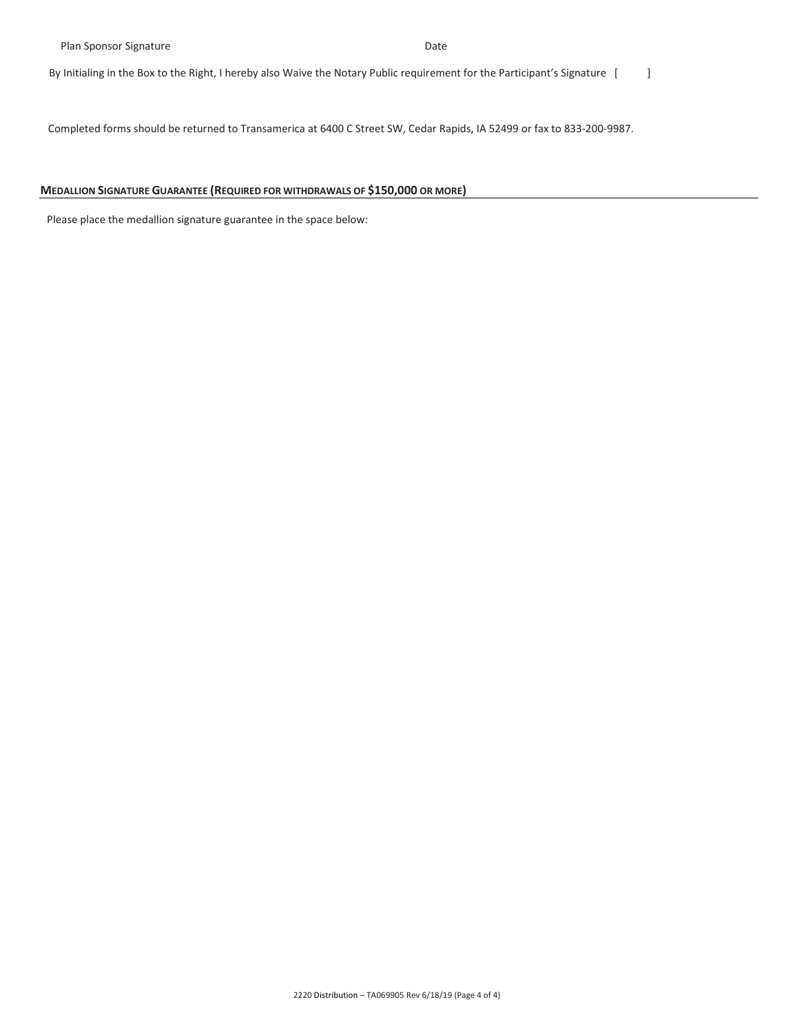By Initialing in the Box to the Right, I hereby also Waive the Notary Public requirement for the Participant's Signature [ ]

Completed forms should be returned to Transamerica at 6400 C Street SW, Cedar Rapids, IA 52499 or fax to 833-200-9987.

# **MEDALLION SIGNATURE GUARANTEE (REQUIRED FOR WITHDRAWALS OF \$150,000 OR MORE)**

Please place the medallion signature guarantee in the space below: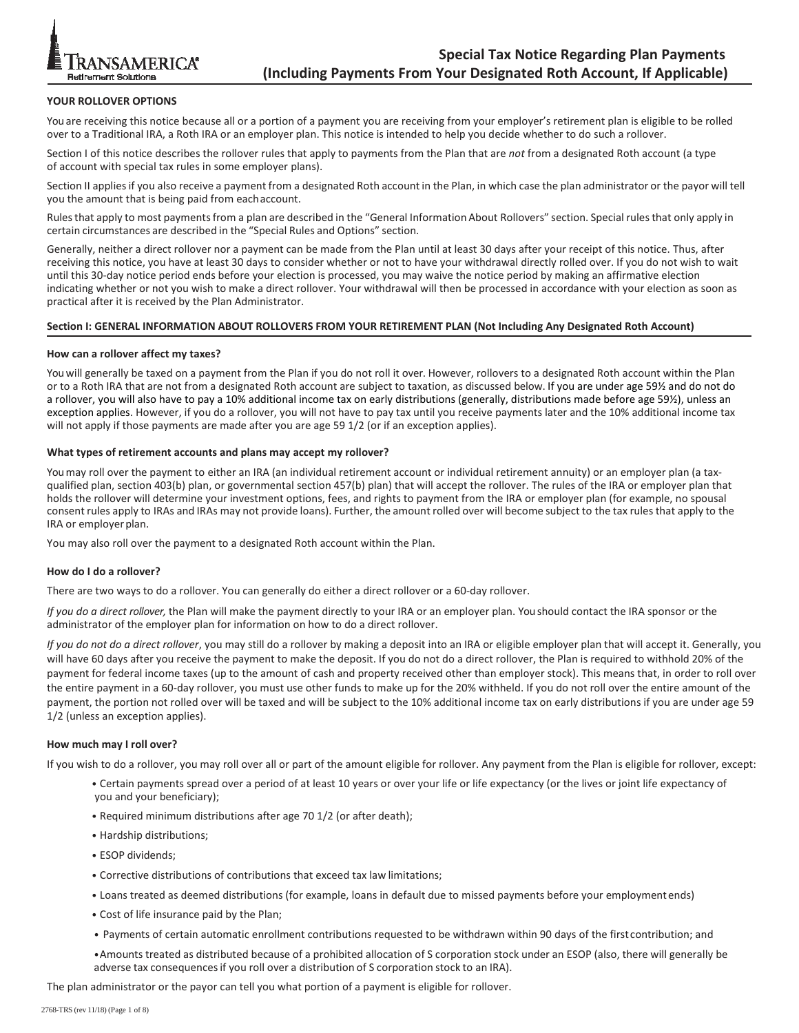

# **YOUR ROLLOVER OPTIONS**

You are receiving this notice because all or a portion of a payment you are receiving from your employer's retirement plan is eligible to be rolled over to a Traditional IRA, a Roth IRA or an employer plan. This notice is intended to help you decide whether to do such a rollover.

Section I of this notice describes the rollover rules that apply to payments from the Plan that are *not* from a designated Roth account (a type of account with special tax rules in some employer plans).

Section II applies if you also receive a payment from a designated Roth account in the Plan, in which case the plan administrator or the payor will tell you the amount that is being paid from each account.

Rules that apply to most payments from a plan are described in the "General Information About Rollovers" section. Special rules that only apply in certain circumstances are described in the "Special Rules and Options" section.

Generally, neither a direct rollover nor a payment can be made from the Plan until at least 30 days after your receipt of this notice. Thus, after receiving this notice, you have at least 30 days to consider whether or not to have your withdrawal directly rolled over. If you do not wish to wait until this 30-day notice period ends before your election is processed, you may waive the notice period by making an affirmative election indicating whether or not you wish to make a direct rollover. Your withdrawal will then be processed in accordance with your election as soon as practical after it is received by the Plan Administrator.

#### **Section I: GENERAL INFORMATION ABOUT ROLLOVERS FROM YOUR RETIREMENT PLAN (Not Including Any Designated Roth Account)**

#### **How can a rollover affect my taxes?**

You will generally be taxed on a payment from the Plan if you do not roll it over. However, rollovers to a designated Roth account within the Plan or to a Roth IRA that are not from a designated Roth account are subject to taxation, as discussed below. If you are under age 59½ and do not do a rollover, you will also have to pay a 10% additional income tax on early distributions (generally, distributions made before age 59½), unless an exception applies. However, if you do a rollover, you will not have to pay tax until you receive payments later and the 10% additional income tax will not apply if those payments are made after you are age 59 1/2 (or if an exception applies).

#### **What types of retirement accounts and plans may accept my rollover?**

You may roll over the payment to either an IRA (an individual retirement account or individual retirement annuity) or an employer plan (a taxqualified plan, section 403(b) plan, or governmental section 457(b) plan) that will accept the rollover. The rules of the IRA or employer plan that holds the rollover will determine your investment options, fees, and rights to payment from the IRA or employer plan (for example, no spousal consent rules apply to IRAs and IRAs may not provide loans). Further, the amount rolled over will become subject to the tax rules that apply to the IRA or employer plan.

You may also roll over the payment to a designated Roth account within the Plan.

#### **How do I do a rollover?**

There are two ways to do a rollover. You can generally do either a direct rollover or a 60-day rollover.

*If you do a direct rollover,* the Plan will make the payment directly to your IRA or an employer plan. You should contact the IRA sponsor or the administrator of the employer plan for information on how to do a direct rollover.

*If you do not do a direct rollover*, you may still do a rollover by making a deposit into an IRA or eligible employer plan that will accept it. Generally, you will have 60 days after you receive the payment to make the deposit. If you do not do a direct rollover, the Plan is required to withhold 20% of the payment for federal income taxes (up to the amount of cash and property received other than employer stock). This means that, in order to roll over the entire payment in a 60-day rollover, you must use other funds to make up for the 20% withheld. If you do not roll over the entire amount of the payment, the portion not rolled over will be taxed and will be subject to the 10% additional income tax on early distributions if you are under age 59 1/2 (unless an exception applies).

#### **How much may I roll over?**

If you wish to do a rollover, you may roll over all or part of the amount eligible for rollover. Any payment from the Plan is eligible for rollover, except:

- Certain payments spread over a period of at least 10 years or over your life or life expectancy (or the lives or joint life expectancy of you and your beneficiary);
- Required minimum distributions after age 70 1/2 (or after death);
- Hardship distributions;
- ESOP dividends;
- Corrective distributions of contributions that exceed tax law limitations;
- Loans treated as deemed distributions (for example, loans in default due to missed payments before your employment ends)
- Cost of life insurance paid by the Plan;
- Payments of certain automatic enrollment contributions requested to be withdrawn within 90 days of the first contribution; and
- •Amounts treated as distributed because of a prohibited allocation of S corporation stock under an ESOP (also, there will generally be adverse tax consequences if you roll over a distribution of S corporation stock to an IRA).

The plan administrator or the payor can tell you what portion of a payment is eligible for rollover.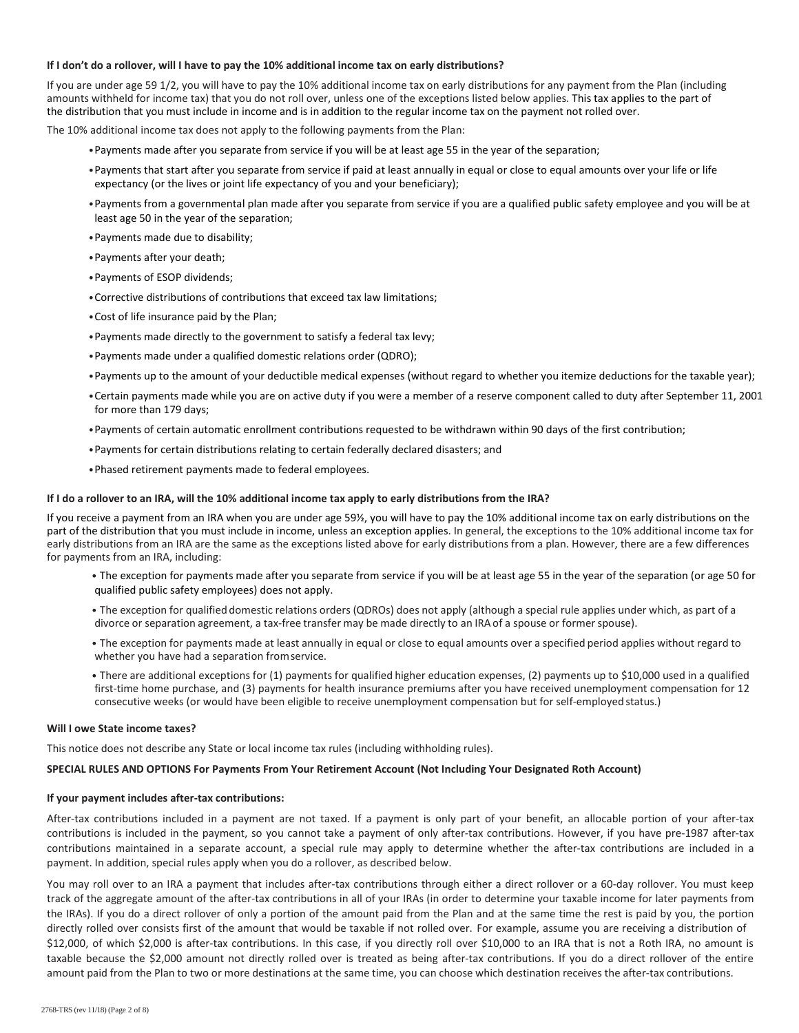### **If I don't do a rollover, will I have to pay the 10% additional income tax on early distributions?**

If you are under age 59 1/2, you will have to pay the 10% additional income tax on early distributions for any payment from the Plan (including amounts withheld for income tax) that you do not roll over, unless one of the exceptions listed below applies. This tax applies to the part of the distribution that you must include in income and is in addition to the regular income tax on the payment not rolled over.

The 10% additional income tax does not apply to the following payments from the Plan:

- •Payments made after you separate from service if you will be at least age 55 in the year of the separation;
- •Payments that start after you separate from service if paid at least annually in equal or close to equal amounts over your life or life expectancy (or the lives or joint life expectancy of you and your beneficiary);
- •Payments from a governmental plan made after you separate from service if you are a qualified public safety employee and you will be at least age 50 in the year of the separation;
- •Payments made due to disability;
- •Payments after your death;
- •Payments of ESOP dividends;
- •Corrective distributions of contributions that exceed tax law limitations;
- •Cost of life insurance paid by the Plan;
- •Payments made directly to the government to satisfy a federal tax levy;
- •Payments made under a qualified domestic relations order (QDRO);
- •Payments up to the amount of your deductible medical expenses (without regard to whether you itemize deductions for the taxable year);
- •Certain payments made while you are on active duty if you were a member of a reserve component called to duty after September 11, 2001 for more than 179 days;
- •Payments of certain automatic enrollment contributions requested to be withdrawn within 90 days of the first contribution;
- •Payments for certain distributions relating to certain federally declared disasters; and
- •Phased retirement payments made to federal employees.

### **If I do a rollover to an IRA, will the 10% additional income tax apply to early distributions from the IRA?**

If you receive a payment from an IRA when you are under age 59½, you will have to pay the 10% additional income tax on early distributions on the part of the distribution that you must include in income, unless an exception applies. In general, the exceptions to the 10% additional income tax for early distributions from an IRA are the same as the exceptions listed above for early distributions from a plan. However, there are a few differences for payments from an IRA, including:

- The exception for payments made after you separate from service if you will be at least age 55 in the year of the separation (or age 50 for qualified public safety employees) does not apply.
- The exception for qualified domestic relations orders (QDROs) does not apply (although a special rule applies under which, as part of a divorce or separation agreement, a tax-free transfer may be made directly to an IRA of a spouse or former spouse).
- The exception for payments made at least annually in equal or close to equal amounts over a specified period applies without regard to whether you have had a separation from service.
- There are additional exceptions for (1) payments for qualified higher education expenses, (2) payments up to \$10,000 used in a qualified first-time home purchase, and (3) payments for health insurance premiums after you have received unemployment compensation for 12 consecutive weeks (or would have been eligible to receive unemployment compensation but for self-employed status.)

#### **Will I owe State income taxes?**

This notice does not describe any State or local income tax rules (including withholding rules).

#### **SPECIAL RULES AND OPTIONS For Payments From Your Retirement Account (Not Including Your Designated Roth Account)**

# **If your payment includes after-tax contributions:**

After-tax contributions included in a payment are not taxed. If a payment is only part of your benefit, an allocable portion of your after-tax contributions is included in the payment, so you cannot take a payment of only after-tax contributions. However, if you have pre-1987 after-tax contributions maintained in a separate account, a special rule may apply to determine whether the after-tax contributions are included in a payment. In addition, special rules apply when you do a rollover, as described below.

You may roll over to an IRA a payment that includes after-tax contributions through either a direct rollover or a 60-day rollover. You must keep track of the aggregate amount of the after-tax contributions in all of your IRAs (in order to determine your taxable income for later payments from the IRAs). If you do a direct rollover of only a portion of the amount paid from the Plan and at the same time the rest is paid by you, the portion directly rolled over consists first of the amount that would be taxable if not rolled over. For example, assume you are receiving a distribution of \$12,000, of which \$2,000 is after-tax contributions. In this case, if you directly roll over \$10,000 to an IRA that is not a Roth IRA, no amount is taxable because the \$2,000 amount not directly rolled over is treated as being after-tax contributions. If you do a direct rollover of the entire amount paid from the Plan to two or more destinations at the same time, you can choose which destination receives the after-tax contributions.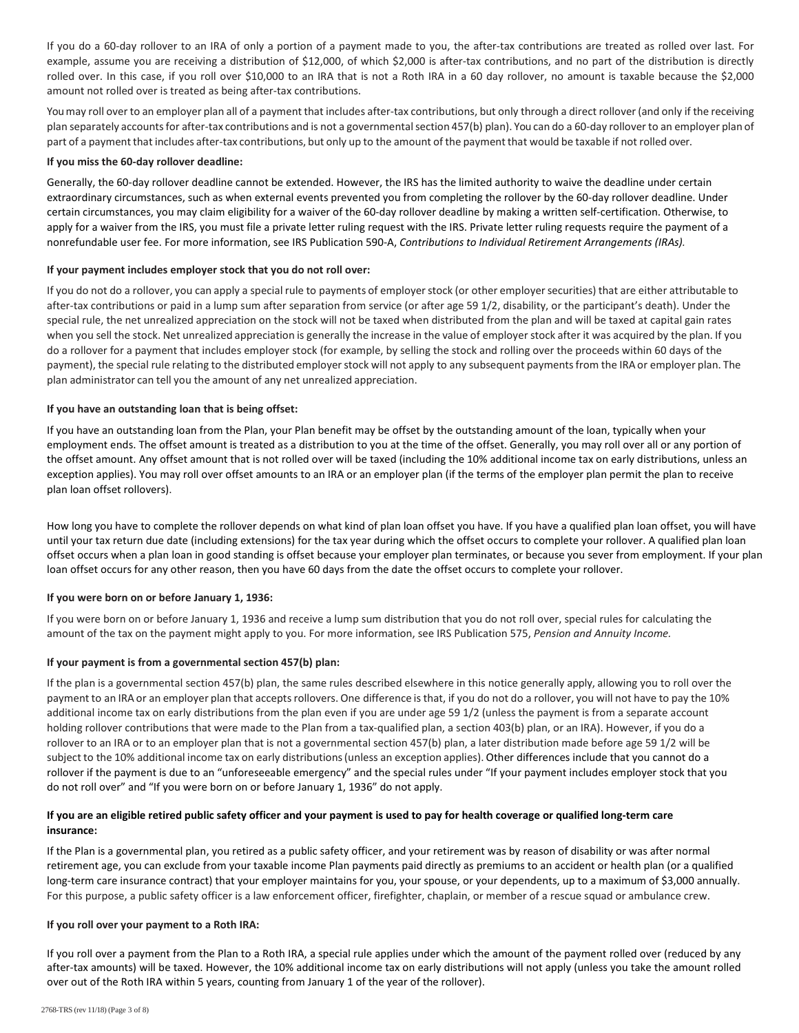If you do a 60-day rollover to an IRA of only a portion of a payment made to you, the after-tax contributions are treated as rolled over last. For example, assume you are receiving a distribution of \$12,000, of which \$2,000 is after-tax contributions, and no part of the distribution is directly rolled over. In this case, if you roll over \$10,000 to an IRA that is not a Roth IRA in a 60 day rollover, no amount is taxable because the \$2,000 amount not rolled over is treated as being after-tax contributions.

You may roll over to an employer plan all of a payment that includes after-tax contributions, but only through a direct rollover (and only if the receiving plan separately accounts for after-tax contributions and is not a governmental section 457(b) plan). You can do a 60-day rollover to an employer plan of part of a payment that includes after-tax contributions, but only up to the amount of the payment that would be taxable if not rolled over.

# **If you miss the 60-day rollover deadline:**

Generally, the 60-day rollover deadline cannot be extended. However, the IRS has the limited authority to waive the deadline under certain extraordinary circumstances, such as when external events prevented you from completing the rollover by the 60-day rollover deadline. Under certain circumstances, you may claim eligibility for a waiver of the 60-day rollover deadline by making a written self-certification. Otherwise, to apply for a waiver from the IRS, you must file a private letter ruling request with the IRS. Private letter ruling requests require the payment of a nonrefundable user fee. For more information, see IRS Publication 590-A, *Contributions to Individual Retirement Arrangements (IRAs).*

# **If your payment includes employer stock that you do not roll over:**

If you do not do a rollover, you can apply a special rule to payments of employer stock (or other employer securities) that are either attributable to after-tax contributions or paid in a lump sum after separation from service (or after age 59 1/2, disability, or the participant's death). Under the special rule, the net unrealized appreciation on the stock will not be taxed when distributed from the plan and will be taxed at capital gain rates when you sell the stock. Net unrealized appreciation is generally the increase in the value of employer stock after it was acquired by the plan. If you do a rollover for a payment that includes employer stock (for example, by selling the stock and rolling over the proceeds within 60 days of the payment), the special rule relating to the distributed employer stock will not apply to any subsequent payments from the IRA or employer plan. The plan administrator can tell you the amount of any net unrealized appreciation.

# **If you have an outstanding loan that is being offset:**

If you have an outstanding loan from the Plan, your Plan benefit may be offset by the outstanding amount of the loan, typically when your employment ends. The offset amount is treated as a distribution to you at the time of the offset. Generally, you may roll over all or any portion of the offset amount. Any offset amount that is not rolled over will be taxed (including the 10% additional income tax on early distributions, unless an exception applies). You may roll over offset amounts to an IRA or an employer plan (if the terms of the employer plan permit the plan to receive plan loan offset rollovers).

How long you have to complete the rollover depends on what kind of plan loan offset you have. If you have a qualified plan loan offset, you will have until your tax return due date (including extensions) for the tax year during which the offset occurs to complete your rollover. A qualified plan loan offset occurs when a plan loan in good standing is offset because your employer plan terminates, or because you sever from employment. If your plan loan offset occurs for any other reason, then you have 60 days from the date the offset occurs to complete your rollover.

# **If you were born on or before January 1, 1936:**

If you were born on or before January 1, 1936 and receive a lump sum distribution that you do not roll over, special rules for calculating the amount of the tax on the payment might apply to you. For more information, see IRS Publication 575, *Pension and Annuity Income.*

# **If your payment is from a governmental section 457(b) plan:**

If the plan is a governmental section 457(b) plan, the same rules described elsewhere in this notice generally apply, allowing you to roll over the payment to an IRA or an employer plan that accepts rollovers. One difference is that, if you do not do a rollover, you will not have to pay the 10% additional income tax on early distributions from the plan even if you are under age 59 1/2 (unless the payment is from a separate account holding rollover contributions that were made to the Plan from a tax-qualified plan, a section 403(b) plan, or an IRA). However, if you do a rollover to an IRA or to an employer plan that is not a governmental section 457(b) plan, a later distribution made before age 59 1/2 will be subject to the 10% additional income tax on early distributions (unless an exception applies). Other differences include that you cannot do a rollover if the payment is due to an "unforeseeable emergency" and the special rules under "If your payment includes employer stock that you do not roll over" and "If you were born on or before January 1, 1936" do not apply.

# **If you are an eligible retired public safety officer and your payment is used to pay for health coverage or qualified long-term care insurance:**

If the Plan is a governmental plan, you retired as a public safety officer, and your retirement was by reason of disability or was after normal retirement age, you can exclude from your taxable income Plan payments paid directly as premiums to an accident or health plan (or a qualified long-term care insurance contract) that your employer maintains for you, your spouse, or your dependents, up to a maximum of \$3,000 annually. For this purpose, a public safety officer is a law enforcement officer, firefighter, chaplain, or member of a rescue squad or ambulance crew.

# **If you roll over your payment to a Roth IRA:**

If you roll over a payment from the Plan to a Roth IRA, a special rule applies under which the amount of the payment rolled over (reduced by any after-tax amounts) will be taxed. However, the 10% additional income tax on early distributions will not apply (unless you take the amount rolled over out of the Roth IRA within 5 years, counting from January 1 of the year of the rollover).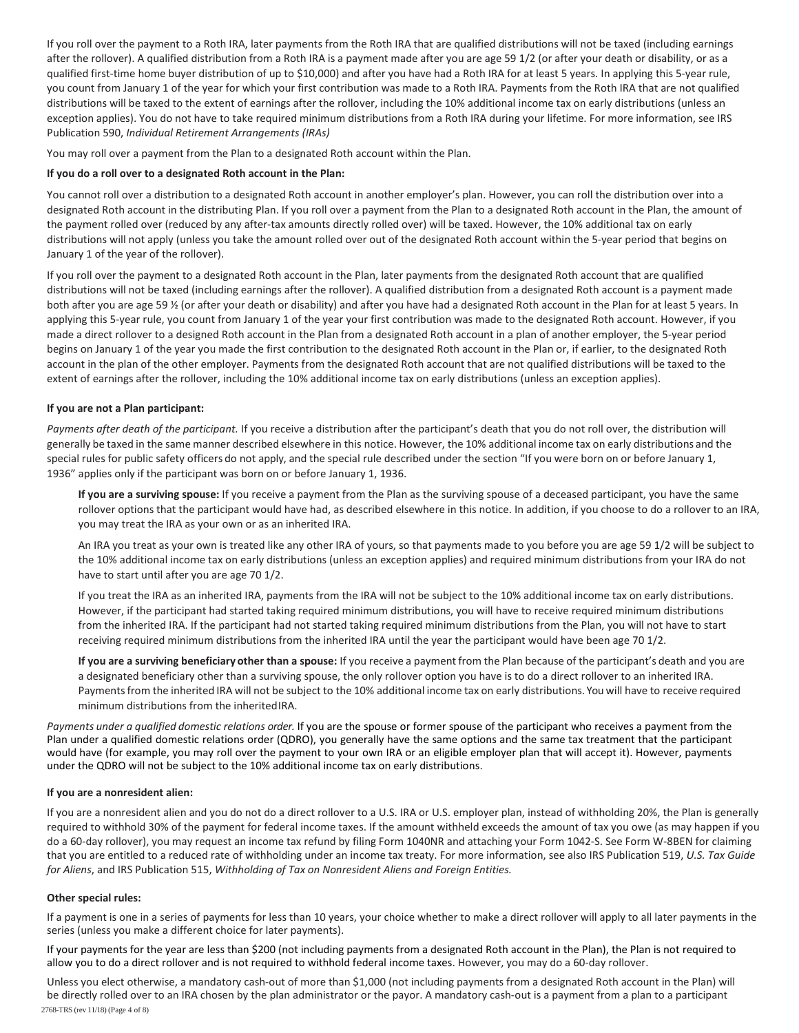If you roll over the payment to a Roth IRA, later payments from the Roth IRA that are qualified distributions will not be taxed (including earnings after the rollover). A qualified distribution from a Roth IRA is a payment made after you are age 59 1/2 (or after your death or disability, or as a qualified first-time home buyer distribution of up to \$10,000) and after you have had a Roth IRA for at least 5 years. In applying this 5-year rule, you count from January 1 of the year for which your first contribution was made to a Roth IRA. Payments from the Roth IRA that are not qualified distributions will be taxed to the extent of earnings after the rollover, including the 10% additional income tax on early distributions (unless an exception applies). You do not have to take required minimum distributions from a Roth IRA during your lifetime. For more information, see IRS Publication 590, *Individual Retirement Arrangements (IRAs)* 

You may roll over a payment from the Plan to a designated Roth account within the Plan.

## **If you do a roll over to a designated Roth account in the Plan:**

You cannot roll over a distribution to a designated Roth account in another employer's plan. However, you can roll the distribution over into a designated Roth account in the distributing Plan. If you roll over a payment from the Plan to a designated Roth account in the Plan, the amount of the payment rolled over (reduced by any after-tax amounts directly rolled over) will be taxed. However, the 10% additional tax on early distributions will not apply (unless you take the amount rolled over out of the designated Roth account within the 5-year period that begins on January 1 of the year of the rollover).

If you roll over the payment to a designated Roth account in the Plan, later payments from the designated Roth account that are qualified distributions will not be taxed (including earnings after the rollover). A qualified distribution from a designated Roth account is a payment made both after you are age 59 ½ (or after your death or disability) and after you have had a designated Roth account in the Plan for at least 5 years. In applying this 5-year rule, you count from January 1 of the year your first contribution was made to the designated Roth account. However, if you made a direct rollover to a designed Roth account in the Plan from a designated Roth account in a plan of another employer, the 5-year period begins on January 1 of the year you made the first contribution to the designated Roth account in the Plan or, if earlier, to the designated Roth account in the plan of the other employer. Payments from the designated Roth account that are not qualified distributions will be taxed to the extent of earnings after the rollover, including the 10% additional income tax on early distributions (unless an exception applies).

### **If you are not a Plan participant:**

*Payments after death of the participant.* If you receive a distribution after the participant's death that you do not roll over, the distribution will generally be taxed in the same manner described elsewhere in this notice. However, the 10% additional income tax on early distributions and the special rules for public safety officers do not apply, and the special rule described under the section "If you were born on or before January 1, 1936" applies only if the participant was born on or before January 1, 1936.

**If you are a surviving spouse:** If you receive a payment from the Plan as the surviving spouse of a deceased participant, you have the same rollover options that the participant would have had, as described elsewhere in this notice. In addition, if you choose to do a rollover to an IRA, you may treat the IRA as your own or as an inherited IRA.

An IRA you treat as your own is treated like any other IRA of yours, so that payments made to you before you are age 59 1/2 will be subject to the 10% additional income tax on early distributions (unless an exception applies) and required minimum distributions from your IRA do not have to start until after you are age 70 1/2.

If you treat the IRA as an inherited IRA, payments from the IRA will not be subject to the 10% additional income tax on early distributions. However, if the participant had started taking required minimum distributions, you will have to receive required minimum distributions from the inherited IRA. If the participant had not started taking required minimum distributions from the Plan, you will not have to start receiving required minimum distributions from the inherited IRA until the year the participant would have been age 70 1/2.

**If you are a surviving beneficiary other than a spouse:** If you receive a payment from the Plan because of the participant's death and you are a designated beneficiary other than a surviving spouse, the only rollover option you have is to do a direct rollover to an inherited IRA. Payments from the inherited IRA will not be subject to the 10% additional income tax on early distributions. You will have to receive required minimum distributions from the inherited IRA.

*Payments under a qualified domestic relations order.* If you are the spouse or former spouse of the participant who receives a payment from the Plan under a qualified domestic relations order (QDRO), you generally have the same options and the same tax treatment that the participant would have (for example, you may roll over the payment to your own IRA or an eligible employer plan that will accept it). However, payments under the QDRO will not be subject to the 10% additional income tax on early distributions.

#### **If you are a nonresident alien:**

If you are a nonresident alien and you do not do a direct rollover to a U.S. IRA or U.S. employer plan, instead of withholding 20%, the Plan is generally required to withhold 30% of the payment for federal income taxes. If the amount withheld exceeds the amount of tax you owe (as may happen if you do a 60-day rollover), you may request an income tax refund by filing Form 1040NR and attaching your Form 1042-S. See Form W-8BEN for claiming that you are entitled to a reduced rate of withholding under an income tax treaty. For more information, see also IRS Publication 519, *U.S. Tax Guide for Aliens*, and IRS Publication 515, *Withholding of Tax on Nonresident Aliens and Foreign Entities.*

#### **Other special rules:**

If a payment is one in a series of payments for less than 10 years, your choice whether to make a direct rollover will apply to all later payments in the series (unless you make a different choice for later payments).

If your payments for the year are less than \$200 (not including payments from a designated Roth account in the Plan), the Plan is not required to allow you to do a direct rollover and is not required to withhold federal income taxes. However, you may do a 60-day rollover.

2768-TRS (rev 11/18) (Page 4 of 8) Unless you elect otherwise, a mandatory cash-out of more than \$1,000 (not including payments from a designated Roth account in the Plan) will be directly rolled over to an IRA chosen by the plan administrator or the payor. A mandatory cash-out is a payment from a plan to a participant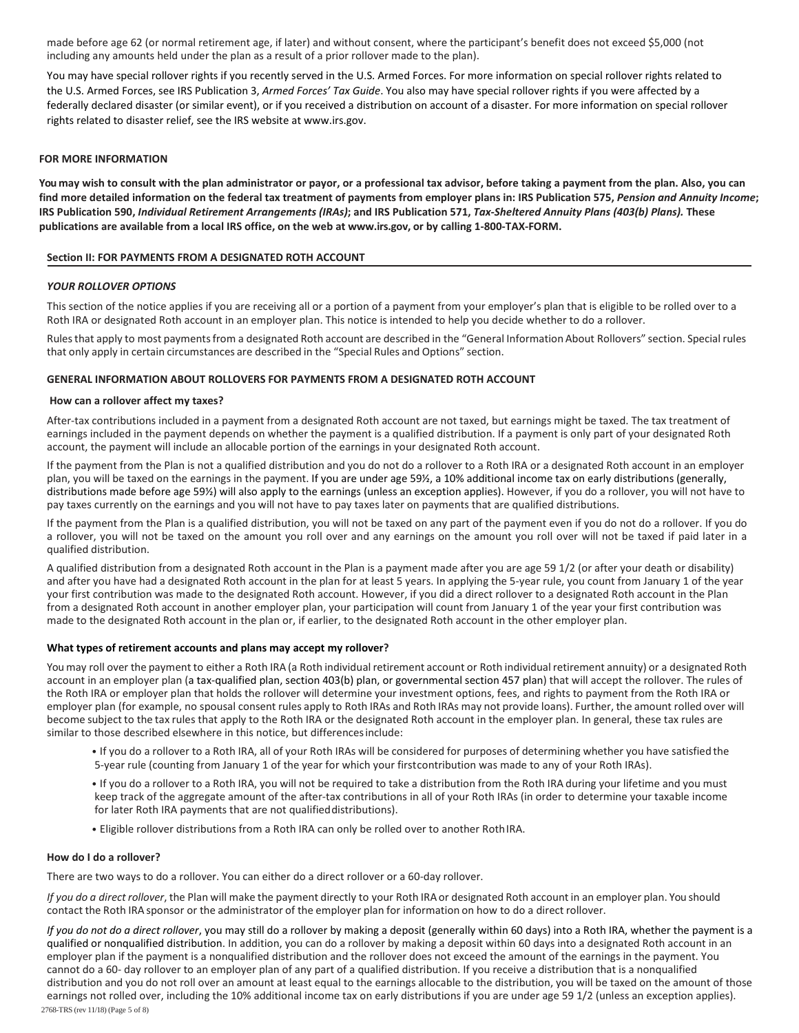made before age 62 (or normal retirement age, if later) and without consent, where the participant's benefit does not exceed \$5,000 (not including any amounts held under the plan as a result of a prior rollover made to the plan).

You may have special rollover rights if you recently served in the U.S. Armed Forces. For more information on special rollover rights related to the U.S. Armed Forces, see IRS Publication 3, *Armed Forces' Tax Guide*. You also may have special rollover rights if you were affected by a federally declared disaster (or similar event), or if you received a distribution on account of a disaster. For more information on special rollover rights related to disaster relief, see the IRS website at www.irs.gov.

# **FOR MORE INFORMATION**

**You may wish to consult with the plan administrator or payor, or a professional tax advisor, before taking a payment from the plan. Also, you can find more detailed information on the federal tax treatment of payments from employer plans in: IRS Publication 575,** *Pension and Annuity Income***; IRS Publication 590,** *Individual Retirement Arrangements (IRAs)***; and IRS Publication 571,** *Tax-Sheltered Annuity Plans (403(b) Plans).* **These publications are available from a local IRS office, on the web at www.irs.gov, or by calling 1-800-TAX-FORM.**

### **Section II: FOR PAYMENTS FROM A DESIGNATED ROTH ACCOUNT**

### *YOUR ROLLOVER OPTIONS*

This section of the notice applies if you are receiving all or a portion of a payment from your employer's plan that is eligible to be rolled over to a Roth IRA or designated Roth account in an employer plan. This notice is intended to help you decide whether to do a rollover.

Rules that apply to most payments from a designated Roth account are described in the "General Information About Rollovers" section. Special rules that only apply in certain circumstances are described in the "Special Rules and Options" section.

#### **GENERAL INFORMATION ABOUT ROLLOVERS FOR PAYMENTS FROM A DESIGNATED ROTH ACCOUNT**

#### **How can a rollover affect my taxes?**

After-tax contributions included in a payment from a designated Roth account are not taxed, but earnings might be taxed. The tax treatment of earnings included in the payment depends on whether the payment is a qualified distribution. If a payment is only part of your designated Roth account, the payment will include an allocable portion of the earnings in your designated Roth account.

If the payment from the Plan is not a qualified distribution and you do not do a rollover to a Roth IRA or a designated Roth account in an employer plan, you will be taxed on the earnings in the payment. If you are under age 59½, a 10% additional income tax on early distributions (generally, distributions made before age 59%) will also apply to the earnings (unless an exception applies). However, if you do a rollover, you will not have to pay taxes currently on the earnings and you will not have to pay taxes later on payments that are qualified distributions.

If the payment from the Plan is a qualified distribution, you will not be taxed on any part of the payment even if you do not do a rollover. If you do a rollover, you will not be taxed on the amount you roll over and any earnings on the amount you roll over will not be taxed if paid later in a qualified distribution.

A qualified distribution from a designated Roth account in the Plan is a payment made after you are age 59 1/2 (or after your death or disability) and after you have had a designated Roth account in the plan for at least 5 years. In applying the 5-year rule, you count from January 1 of the year your first contribution was made to the designated Roth account. However, if you did a direct rollover to a designated Roth account in the Plan from a designated Roth account in another employer plan, your participation will count from January 1 of the year your first contribution was made to the designated Roth account in the plan or, if earlier, to the designated Roth account in the other employer plan.

# **What types of retirement accounts and plans may accept my rollover?**

You may roll over the payment to either a Roth IRA (a Roth individual retirement account or Roth individual retirement annuity) or a designated Roth account in an employer plan (a tax-qualified plan, section 403(b) plan, or governmental section 457 plan) that will accept the rollover. The rules of the Roth IRA or employer plan that holds the rollover will determine your investment options, fees, and rights to payment from the Roth IRA or employer plan (for example, no spousal consent rules apply to Roth IRAs and Roth IRAs may not provide loans). Further, the amount rolled over will become subject to the tax rules that apply to the Roth IRA or the designated Roth account in the employer plan. In general, these tax rules are similar to those described elsewhere in this notice, but differences include:

- If you do a rollover to a Roth IRA, all of your Roth IRAs will be considered for purposes of determining whether you have satisfied the 5-year rule (counting from January 1 of the year for which your first contribution was made to any of your Roth IRAs).
- If you do a rollover to a Roth IRA, you will not be required to take a distribution from the Roth IRA during your lifetime and you must keep track of the aggregate amount of the after-tax contributions in all of your Roth IRAs (in order to determine your taxable income for later Roth IRA payments that are not qualified distributions).
- Eligible rollover distributions from a Roth IRA can only be rolled over to another Roth IRA.

#### **How do I do a rollover?**

There are two ways to do a rollover. You can either do a direct rollover or a 60-day rollover.

*If you do a direct rollover*, the Plan will make the payment directly to your Roth IRA or designated Roth account in an employer plan. You should contact the Roth IRA sponsor or the administrator of the employer plan for information on how to do a direct rollover.

*If you do not do a direct rollover*, you may still do a rollover by making a deposit (generally within 60 days) into a Roth IRA, whether the payment is a qualified or nonqualified distribution. In addition, you can do a rollover by making a deposit within 60 days into a designated Roth account in an employer plan if the payment is a nonqualified distribution and the rollover does not exceed the amount of the earnings in the payment. You cannot do a 60- day rollover to an employer plan of any part of a qualified distribution. If you receive a distribution that is a nonqualified distribution and you do not roll over an amount at least equal to the earnings allocable to the distribution, you will be taxed on the amount of those earnings not rolled over, including the 10% additional income tax on early distributions if you are under age 59 1/2 (unless an exception applies).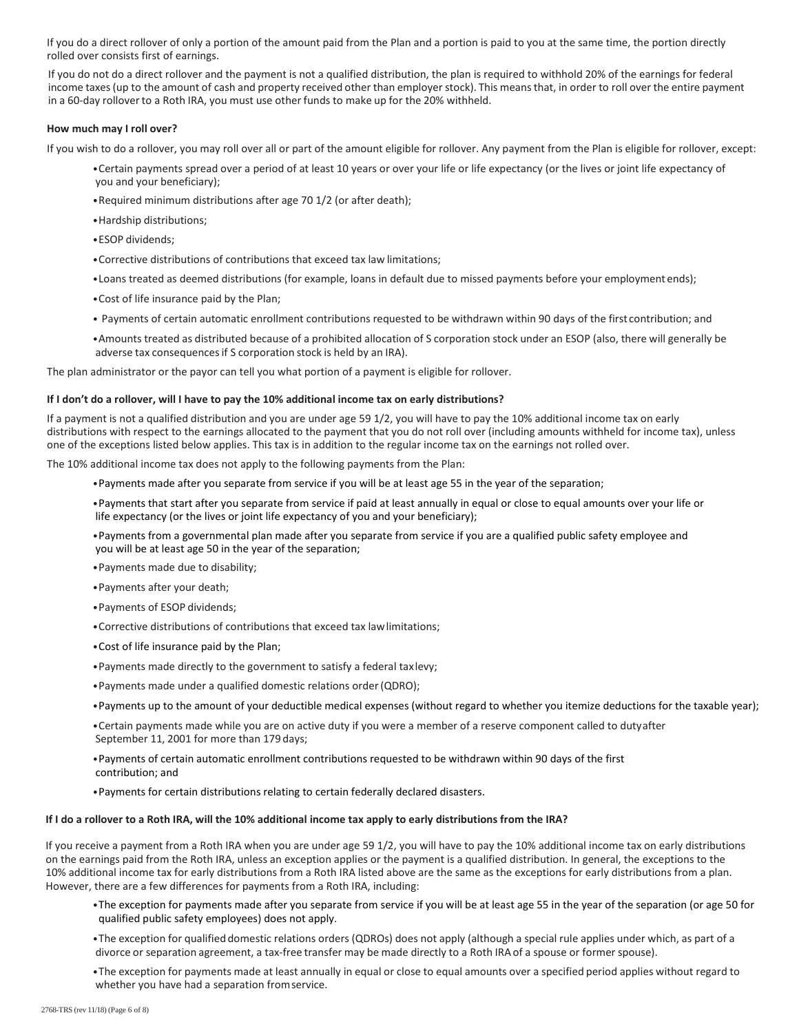If you do a direct rollover of only a portion of the amount paid from the Plan and a portion is paid to you at the same time, the portion directly rolled over consists first of earnings.

If you do not do a direct rollover and the payment is not a qualified distribution, the plan is required to withhold 20% of the earnings for federal income taxes (up to the amount of cash and property received other than employer stock). This means that, in order to roll over the entire payment in a 60-day rollover to a Roth IRA, you must use other funds to make up for the 20% withheld.

# **How much may I roll over?**

If you wish to do a rollover, you may roll over all or part of the amount eligible for rollover. Any payment from the Plan is eligible for rollover, except:

- •Certain payments spread over a period of at least 10 years or over your life or life expectancy (or the lives or joint life expectancy of you and your beneficiary);
- •Required minimum distributions after age 70 1/2 (or after death);
- •Hardship distributions;
- •ESOP dividends;
- •Corrective distributions of contributions that exceed tax law limitations;
- •Loans treated as deemed distributions (for example, loans in default due to missed payments before your employment ends);
- •Cost of life insurance paid by the Plan;
- Payments of certain automatic enrollment contributions requested to be withdrawn within 90 days of the first contribution; and
- •Amounts treated as distributed because of a prohibited allocation of S corporation stock under an ESOP (also, there will generally be adverse tax consequences if S corporation stock is held by an IRA).

The plan administrator or the payor can tell you what portion of a payment is eligible for rollover.

#### **If I don't do a rollover, will I have to pay the 10% additional income tax on early distributions?**

If a payment is not a qualified distribution and you are under age 59 1/2, you will have to pay the 10% additional income tax on early distributions with respect to the earnings allocated to the payment that you do not roll over (including amounts withheld for income tax), unless one of the exceptions listed below applies. This tax is in addition to the regular income tax on the earnings not rolled over.

The 10% additional income tax does not apply to the following payments from the Plan:

- •Payments made after you separate from service if you will be at least age 55 in the year of the separation;
- •Payments that start after you separate from service if paid at least annually in equal or close to equal amounts over your life or life expectancy (or the lives or joint life expectancy of you and your beneficiary);
- •Payments from a governmental plan made after you separate from service if you are a qualified public safety employee and you will be at least age 50 in the year of the separation;
- •Payments made due to disability;
- •Payments after your death;
- •Payments of ESOP dividends;
- •Corrective distributions of contributions that exceed tax law limitations;
- •Cost of life insurance paid by the Plan;
- •Payments made directly to the government to satisfy a federal tax levy;
- •Payments made under a qualified domestic relations order (QDRO);
- •Payments up to the amount of your deductible medical expenses (without regard to whether you itemize deductions for the taxable year);
- •Certain payments made while you are on active duty if you were a member of a reserve component called to duty after September 11, 2001 for more than 179 days;
- •Payments of certain automatic enrollment contributions requested to be withdrawn within 90 days of the first contribution; and
- •Payments for certain distributions relating to certain federally declared disasters.

#### **If I do a rollover to a Roth IRA, will the 10% additional income tax apply to early distributions from the IRA?**

If you receive a payment from a Roth IRA when you are under age 59 1/2, you will have to pay the 10% additional income tax on early distributions on the earnings paid from the Roth IRA, unless an exception applies or the payment is a qualified distribution. In general, the exceptions to the 10% additional income tax for early distributions from a Roth IRA listed above are the same as the exceptions for early distributions from a plan. However, there are a few differences for payments from a Roth IRA, including:

- •The exception for payments made after you separate from service if you will be at least age 55 in the year of the separation (or age 50 for qualified public safety employees) does not apply.
- •The exception for qualified domestic relations orders (QDROs) does not apply (although a special rule applies under which, as part of a divorce or separation agreement, a tax-free transfer may be made directly to a Roth IRA of a spouse or former spouse).
- •The exception for payments made at least annually in equal or close to equal amounts over a specified period applies without regard to whether you have had a separation from service.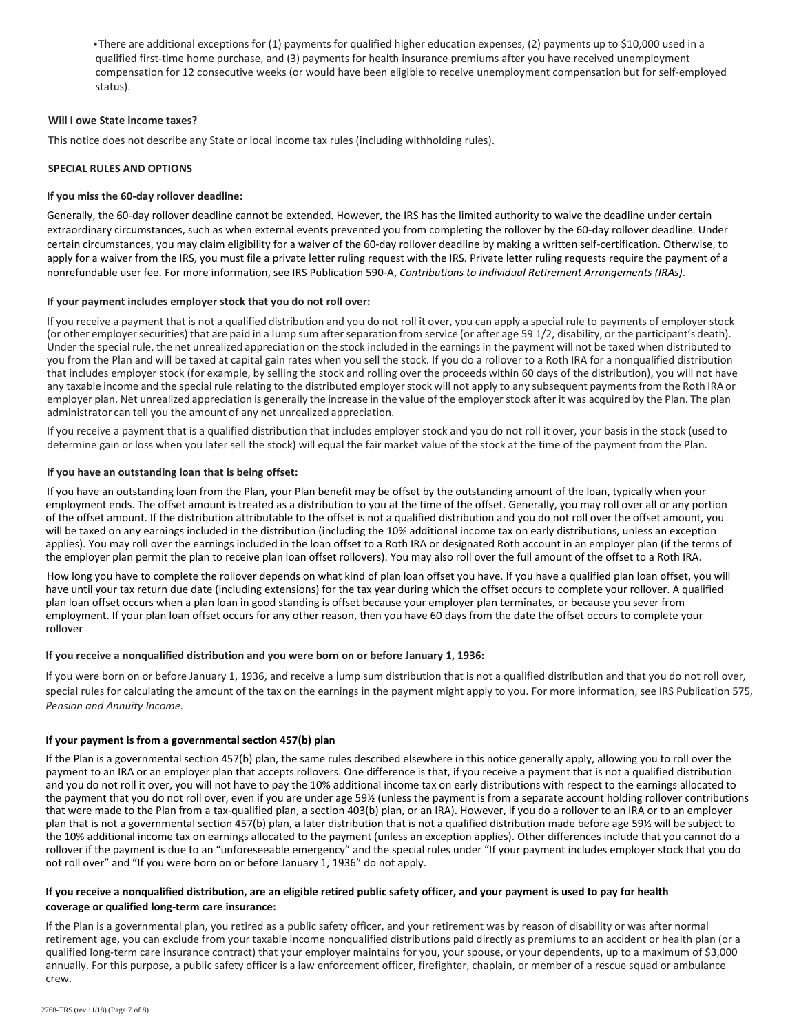•There are additional exceptions for (1) payments for qualified higher education expenses, (2) payments up to \$10,000 used in a qualified first-time home purchase, and (3) payments for health insurance premiums after you have received unemployment compensation for 12 consecutive weeks (or would have been eligible to receive unemployment compensation but for self-employed status).

# **Will I owe State income taxes?**

This notice does not describe any State or local income tax rules (including withholding rules).

# **SPECIAL RULES AND OPTIONS**

# **If you miss the 60-day rollover deadline:**

Generally, the 60-day rollover deadline cannot be extended. However, the IRS has the limited authority to waive the deadline under certain extraordinary circumstances, such as when external events prevented you from completing the rollover by the 60-day rollover deadline. Under certain circumstances, you may claim eligibility for a waiver of the 60-day rollover deadline by making a written self-certification. Otherwise, to apply for a waiver from the IRS, you must file a private letter ruling request with the IRS. Private letter ruling requests require the payment of a nonrefundable user fee. For more information, see IRS Publication 590-A, *Contributions to Individual Retirement Arrangements (IRAs)*.

# **If your payment includes employer stock that you do not roll over:**

If you receive a payment that is not a qualified distribution and you do not roll it over, you can apply a special rule to payments of employer stock (or other employer securities) that are paid in a lump sum after separation from service (or after age 59 1/2, disability, or the participant's death). Under the special rule, the net unrealized appreciation on the stock included in the earnings in the payment will not be taxed when distributed to you from the Plan and will be taxed at capital gain rates when you sell the stock. If you do a rollover to a Roth IRA for a nonqualified distribution that includes employer stock (for example, by selling the stock and rolling over the proceeds within 60 days of the distribution), you will not have any taxable income and the special rule relating to the distributed employer stock will not apply to any subsequent payments from the Roth IRA or employer plan. Net unrealized appreciation is generally the increase in the value of the employer stock after it was acquired by the Plan. The plan administrator can tell you the amount of any net unrealized appreciation.

If you receive a payment that is a qualified distribution that includes employer stock and you do not roll it over, your basis in the stock (used to determine gain or loss when you later sell the stock) will equal the fair market value of the stock at the time of the payment from the Plan.

# **If you have an outstanding loan that is being offset:**

If you have an outstanding loan from the Plan, your Plan benefit may be offset by the outstanding amount of the loan, typically when your employment ends. The offset amount is treated as a distribution to you at the time of the offset. Generally, you may roll over all or any portion of the offset amount. If the distribution attributable to the offset is not a qualified distribution and you do not roll over the offset amount, you will be taxed on any earnings included in the distribution (including the 10% additional income tax on early distributions, unless an exception applies). You may roll over the earnings included in the loan offset to a Roth IRA or designated Roth account in an employer plan (if the terms of the employer plan permit the plan to receive plan loan offset rollovers). You may also roll over the full amount of the offset to a Roth IRA.

How long you have to complete the rollover depends on what kind of plan loan offset you have. If you have a qualified plan loan offset, you will have until your tax return due date (including extensions) for the tax year during which the offset occurs to complete your rollover. A qualified plan loan offset occurs when a plan loan in good standing is offset because your employer plan terminates, or because you sever from employment. If your plan loan offset occurs for any other reason, then you have 60 days from the date the offset occurs to complete your rollover

# **If you receive a nonqualified distribution and you were born on or before January 1, 1936:**

If you were born on or before January 1, 1936, and receive a lump sum distribution that is not a qualified distribution and that you do not roll over, special rules for calculating the amount of the tax on the earnings in the payment might apply to you. For more information, see IRS Publication 575*, Pension and Annuity Income.*

# **If your payment is from a governmental section 457(b) plan**

If the Plan is a governmental section 457(b) plan, the same rules described elsewhere in this notice generally apply, allowing you to roll over the payment to an IRA or an employer plan that accepts rollovers. One difference is that, if you receive a payment that is not a qualified distribution and you do not roll it over, you will not have to pay the 10% additional income tax on early distributions with respect to the earnings allocated to the payment that you do not roll over, even if you are under age 59½ (unless the payment is from a separate account holding rollover contributions that were made to the Plan from a tax-qualified plan, a section 403(b) plan, or an IRA). However, if you do a rollover to an IRA or to an employer plan that is not a governmental section 457(b) plan, a later distribution that is not a qualified distribution made before age 59½ will be subject to the 10% additional income tax on earnings allocated to the payment (unless an exception applies). Other differences include that you cannot do a rollover if the payment is due to an "unforeseeable emergency" and the special rules under "If your payment includes employer stock that you do not roll over" and "If you were born on or before January 1, 1936" do not apply.

# **If you receive a nonqualified distribution, are an eligible retired public safety officer, and your payment is used to pay for health coverage or qualified long-term care insurance:**

If the Plan is a governmental plan, you retired as a public safety officer, and your retirement was by reason of disability or was after normal retirement age, you can exclude from your taxable income nonqualified distributions paid directly as premiums to an accident or health plan (or a qualified long-term care insurance contract) that your employer maintains for you, your spouse, or your dependents, up to a maximum of \$3,000 annually. For this purpose, a public safety officer is a law enforcement officer, firefighter, chaplain, or member of a rescue squad or ambulance crew.